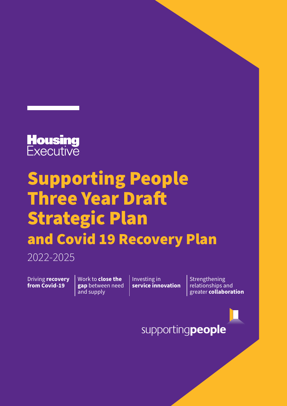

## Supporting People Three Year Draft Strategic Plan and Covid 19 Recovery Plan

2022-2025

Driving **recovery from Covid-19** 

Work to **close the gap** between need and supply

Investing in **service innovation** Strengthening relationships and greater **collaboration**

supportingpeople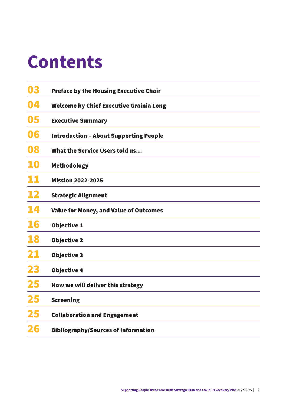## **Contents**

| 03 | <b>Preface by the Housing Executive Chair</b>  |
|----|------------------------------------------------|
| 04 | <b>Welcome by Chief Executive Grainia Long</b> |
| 05 | <b>Executive Summary</b>                       |
| 06 | <b>Introduction - About Supporting People</b>  |
| 08 | What the Service Users told us                 |
| 10 | <b>Methodology</b>                             |
| 11 | <b>Mission 2022-2025</b>                       |
| 12 | <b>Strategic Alignment</b>                     |
| 14 | <b>Value for Money, and Value of Outcomes</b>  |
| 16 | <b>Objective 1</b>                             |
| 18 | <b>Objective 2</b>                             |
| 21 | <b>Objective 3</b>                             |
| 23 | <b>Objective 4</b>                             |
| 25 | How we will deliver this strategy              |
| 25 | <b>Screening</b>                               |
| 25 | <b>Collaboration and Engagement</b>            |
|    | <b>Bibliography/Sources of Information</b>     |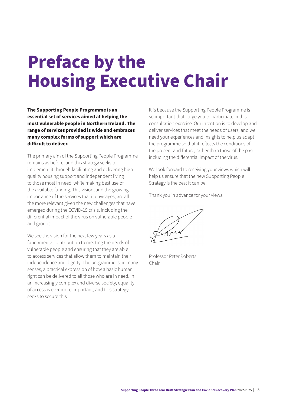## <span id="page-2-0"></span>**Preface by the Housing Executive Chair**

**The Supporting People Programme is an essential set of services aimed at helping the most vulnerable people in Northern Ireland. The range of services provided is wide and embraces many complex forms of support which are difficult to deliver.**

The primary aim of the Supporting People Programme remains as before, and this strategy seeks to implement it through facilitating and delivering high quality housing support and independent living to those most in need, while making best use of the available funding. This vision, and the growing importance of the services that it envisages, are all the more relevant given the new challenges that have emerged during the COVID-19 crisis, including the differential impact of the virus on vulnerable people and groups.

We see the vision for the next few years as a fundamental contribution to meeting the needs of vulnerable people and ensuring that they are able to access services that allow them to maintain their independence and dignity. The programme is, in many senses, a practical expression of how a basic human right can be delivered to all those who are in need. In an increasingly complex and diverse society, equality of access is ever more important, and this strategy seeks to secure this.

It is because the Supporting People Programme is so important that I urge you to participate in this consultation exercise. Our intention is to develop and deliver services that meet the needs of users, and we need your experiences and insights to help us adapt the programme so that it reflects the conditions of the present and future, rather than those of the past including the differential impact of the virus.

We look forward to receiving your views which will help us ensure that the new Supporting People Strategy is the best it can be.

Thank you in advance for your views.

Professor Peter Roberts Chair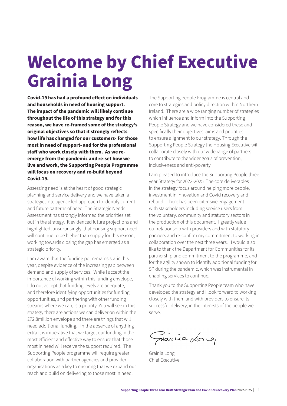## <span id="page-3-0"></span>**Welcome by Chief Executive Grainia Long**

**Covid-19 has had a profound effect on individuals and households in need of housing support. The impact of the pandemic will likely continue throughout the life of this strategy and for this reason, we have re-framed some of the strategy's original objectives so that it strongly reflects how life has changed for our customers- for those most in need of support- and for the professional staff who work closely with them. As we reemerge from the pandemic and re-set how we live and work, the Supporting People Programme will focus on recovery and re-build beyond Covid-19.**

Assessing need is at the heart of good strategic planning and service delivery and we have taken a strategic, intelligence led approach to identify current and future patterns of need. The Strategic Needs Assessment has strongly informed the priorities set out in the strategy. It evidenced future projections and highlighted, unsurprisingly, that housing support need will continue to be higher than supply for this reason, working towards closing the gap has emerged as a strategic priority.

I am aware that the funding pot remains static this year, despite evidence of the increasing gap between demand and supply of services. While I accept the importance of working within this funding envelope, I do not accept that funding levels are adequate, and therefore identifying opportunities for funding opportunities, and partnering with other funding streams where we can, is a priority. You will see in this strategy there are actions we can deliver on within the £72.8million envelope and there are things that will need additional funding. In the absence of anything extra it is imperative that we target our funding in the most efficient and effective way to ensure that those most in need will receive the support required. The Supporting People programme will require greater collaboration with partner agencies and provider organisations as a key to ensuring that we expand our reach and build on delivering to those most in need.

The Supporting People Programme is central and core to strategies and policy direction within Northern Ireland. There are a wide ranging number of strategies which influence and inform into the Supporting People Strategy and we have considered these and specifically their objectives, aims and priorities to ensure alignment to our strategy. Through the Supporting People Strategy the Housing Executive will collaborate closely with our wide range of partners to contribute to the wider goals of prevention, inclusiveness and anti-poverty.

I am pleased to introduce the Supporting People three year Strategy for 2022-2025. The core deliverables in the strategy focus around helping more people, investment in innovation and Covid recovery and rebuild. There has been extensive engagement with stakeholders including service users from the voluntary, community and statutory sectors in the production of this document. I greatly value our relationship with providers and with statutory partners and re-confirm my commitment to working in collaboration over the next three years. I would also like to thank the Department for Communities for its partnership and commitment to the programme, and for the agility shown to identify additional funding for SP during the pandemic, which was instrumental in enabling services to continue.

Thank you to the Supporting People team who have developed the strategy and I look forward to working closely with them and with providers to ensure its successful delivery, in the interests of the people we serve.

Granica Loug

Grainia Long Chief Executive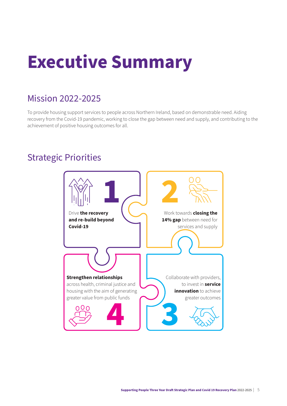# <span id="page-4-0"></span>**Executive Summary**

### Mission 2022-2025

To provide housing support services to people across Northern Ireland, based on demonstrable need. Aiding recovery from the Covid-19 pandemic, working to close the gap between need and supply, and contributing to the achievement of positive housing outcomes for all.

## Strategic Priorities

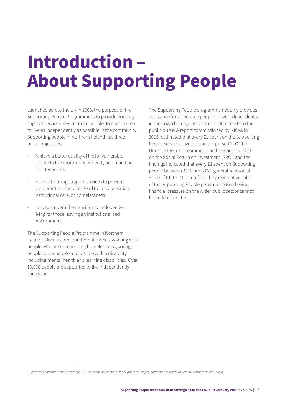## <span id="page-5-0"></span>**Introduction – About Supporting People**

Launched across the UK in 2003, the purpose of the Supporting People Programme is to provide housing support services to vulnerable people, to enable them to live as independently as possible in the community. Supporting people in Northern Ireland has three broad objectives.

- Achieve a better quality of life for vulnerable people to live more independently and maintain their tenancies.
- Provide housing support services to prevent problems that can often lead to hospitalisation, institutional care, or homelessness.
- Help to smooth the transition to independent living for those leaving an institutionalised environment.

The Supporting People Programme in Northern Ireland is focused on four thematic areas; working with people who are experiencing homelessness, young people, older people and people with a disability including mental health and learning disabilities. Over 19,000 people are supported to live independently each year.

The Supporting People programme not only provides assistance for vulnerable people to live independently in their own home, it also reduces other costs to the public purse. A report commissioned by NICVA in 20151 estimated that every £1 spent on the Supporting People services saves the public purse £1.90; the Housing Executive commissioned research in 2020 on the Social Return on Investment (SROI) and the findings indicated that every £1 spent on Supporting people between 2018 and 2021 generated a social value of £1: £5.71. Therefore, the preventative value of the Supporting People programme to relieving financial pressure on the wider public sector cannot be underestimated.

*<sup>1</sup> Centre for Economic Empowerment (2015) The Financial Benefits of the Supporting People Programme in Northern Ireland, Northern Ireland: nicva.*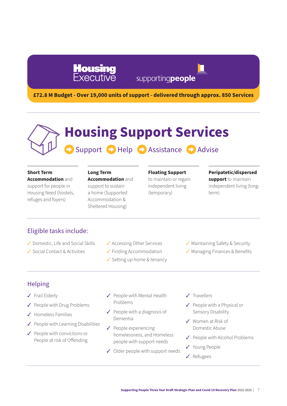## **Housing**<br>Executive

## supportingpeople

**£72.8 M Budget - Over 19,000 units of support - delivered through approx. 850 Services** 

## Support **C** Help **C** Assistance **C** Advise **Housing Support Services**

### **Short Term**

**Accommodation** and support for people in Housing Need (hostels, refuges and foyers)

### **Long Term**

**Accommodation** and support to sustain a home (Supported Accommodation & Sheltered Housing)

### **Floating Support**

to maintain or regain independent living (temporary)

### **Peripatetic/dispersed**

**support** to maintain independent living (longterm)

### Eligible tasks include:

- ✔ Domestic, Life and Social Skills
- $\checkmark$  Social Contact & Activities
- ✔ Accessing Other Services
- $\checkmark$  Finding Accommodation
- $\checkmark$  Setting up home & tenancy
- $\checkmark$  Maintaining Safety & Security
- $\checkmark$  Managing Finances & Benefits

### Helping

- $\checkmark$  Frail Elderly
- $\checkmark$  People with Drug Problems
- $\angle$  Homeless Families
- $\checkmark$  People with Learning Disabilities
- $\checkmark$  People with convictions or People at risk of Offending
- $\checkmark$  People with Mental Health Problems
- $\checkmark$  People with a diagnosis of Dementia
- $\sqrt{ }$  People experiencing homelessness, and Homeless people with support needs
- $\checkmark$  Older people with support needs
- $\checkmark$  Travellers
- $\checkmark$  People with a Physical or Sensory Disability
- $\checkmark$  Women at Risk of Domestic Abuse
- $\checkmark$  People with Alcohol Problems
- V Young People
- ✔ Refugees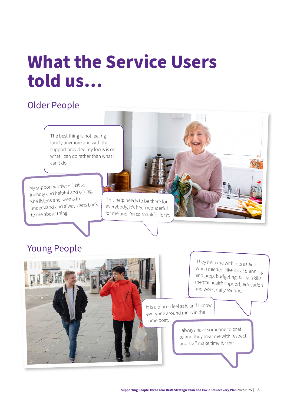## <span id="page-7-0"></span>**What the Service Users told us…**

## Older People

The best thing is not feeling lonely anymore and with the support provided my focus is on what I can do rather than what I can't do.

My support worker is just so friendly and helpful and caring. She listens and seems to understand and always gets back to me about things.

This help needs to be there for everybody, it's been wonderful for me and I'm so thankful for it.

### Young People

same boat.

They help me with lots as and when needed, like meal planning and prep, budgeting, social skills, mental health support, education and work, daily routine.

It is a place I feel safe and I know everyone around me is in the

> I always have someone to chat to and they treat me with respect and staff make time for me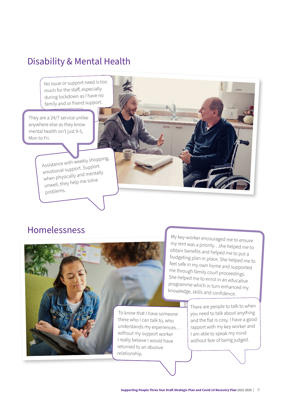### Disability & Mental Health

No issue or support need is too much for the staff, especially during lockdown as I have no family and or friend support.

They are a 24/7 service unlike anywhere else as they know mental health isn't just 9-5, Mon to Fri.

> Assistance with weekly shopping, emotional support. Support when physically and mentally unwell, they help me solve problems.

### Homelessness



My key-worker encouraged me to ensure my rent was a priority…she helped me to obtain benefits and helped me to put a budgeting plan in place. She helped me to feel safe in my own home and supported me through family court proceedings. She helped me to enrol in an educative programme which in turn enhanced my knowledge, skills and confidence.

To know that I have someone there who I can talk to, who understands my experiences… without my support worker I really believe I would have

There are people to talk to when you need to talk about anything and the flat is cosy. I have a good rapport with my key worker and I am able to speak my mind without fear of being judged.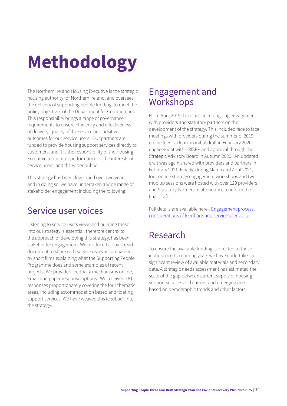# <span id="page-9-0"></span>**Methodology**

The Northern Ireland Housing Executive is the strategic housing authority for Northern Ireland, and oversees the delivery of supporting people funding, to meet the policy objectives of the Department for Communities. This responsibility brings a range of governance requirements to ensure efficiency and effectiveness of delivery, quality of the service and positive outcomes for our service users. Our partners are funded to provide housing support services directly to customers, and it is the responsibility of the Housing Executive to monitor performance, in the interests of service users, and the wider public.

This strategy has been developed over two years, and in doing so, we have undertaken a wide range of stakeholder engagement including the following:

### Service user voices

Listening to service users views and building these into our strategy is essential, therefore central to the approach of developing this strategy, has been stakeholder engagement. We produced a quick read document to share with service users accompanied by short films explaining what the Supporting People Programme does and some examples of recent projects. We provided feedback mechanisms online, Email and paper response options. We received 181 responses proportionately covering the four thematic areas, including accommodation based and floating support services. We have weaved this feedback into the strategy.

### Engagement and Workshops

From April 2019 there has been ongoing engagement with providers and statutory partners on the development of the strategy. This included face to face meetings with providers during the summer of 2019, online feedback on an initial draft in February 2020, engagement with CRISPP and approval through the Strategic Advisory Board in Autumn 2020. An updated draft was again shared with providers and partners in February 2021. Finally, during March and April 2021, four online strategy engagement workshops and two mop up sessions were hosted with over 120 providers and Statutory Partners in attendance to inform the final draft.

[Full details are available here](https://www.nihe.gov.uk/Documents/Supporting-People-Strategic-Plan/engagement-process-feedback-and-su-voice.aspx) - [Engagement process,](https://www.nihe.gov.uk/Documents/Supporting-People-Strategic-Plan/engagement-process-feedback-and-su-voice.aspx)  [considerations of feedback and service user voice.](https://www.nihe.gov.uk/Documents/Supporting-People-Strategic-Plan/engagement-process-feedback-and-su-voice.aspx)

## Research

To ensure the available funding is directed to those in most need in coming years we have undertaken a significant review of available materials and secondary data. A strategic needs assessment has estimated the scale of the gap between current supply of housing support services and current and emerging need, based on demographic trends and other factors.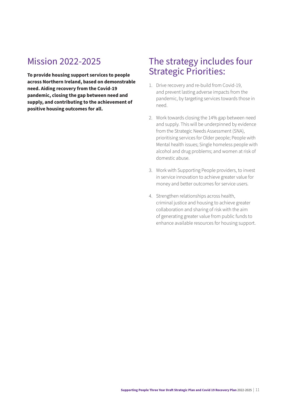### <span id="page-10-0"></span>Mission 2022-2025

**To provide housing support services to people across Northern Ireland, based on demonstrable need. Aiding recovery from the Covid-19 pandemic, closing the gap between need and supply, and contributing to the achievement of positive housing outcomes for all.** 

### The strategy includes four Strategic Priorities:

- 1. Drive recovery and re-build from Covid-19, and prevent lasting adverse impacts from the pandemic, by targeting services towards those in need.
- 2. Work towards closing the 14% gap between need and supply. This will be underpinned by evidence from the Strategic Needs Assessment (SNA), prioritising services for Older people; People with Mental health issues; Single homeless people with alcohol and drug problems; and women at risk of domestic abuse.
- 3. Work with Supporting People providers, to invest in service innovation to achieve greater value for money and better outcomes for service users.
- 4. Strengthen relationships across health, criminal justice and housing to achieve greater collaboration and sharing of risk with the aim of generating greater value from public funds to enhance available resources for housing support.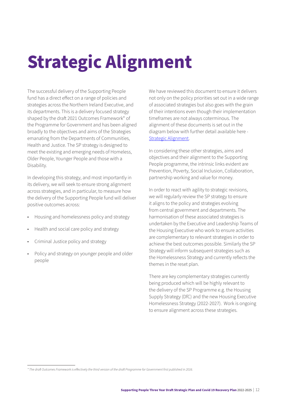# <span id="page-11-0"></span>**Strategic Alignment**

The successful delivery of the Supporting People fund has a direct effect on a range of policies and strategies across the Northern Ireland Executive, and its departments. This is a delivery focused strategy shaped by the draft 2021 Outcomes Framework\* of the Programme for Government and has been aligned broadly to the objectives and aims of the Strategies emanating from the Departments of Communities, Health and Justice. The SP strategy is designed to meet the existing and emerging needs of Homeless, Older People, Younger People and those with a Disability.

In developing this strategy, and most importantly in its delivery, we will seek to ensure strong alignment across strategies, and in particular, to measure how the delivery of the Supporting People fund will deliver positive outcomes across:

- Housing and homelessness policy and strategy
- Health and social care policy and strategy
- Criminal Justice policy and strategy
- Policy and strategy on younger people and older people

We have reviewed this document to ensure it delivers not only on the policy priorities set out in a wide range of associated strategies but also goes with the grain of their intentions even though their implementation timeframes are not always coterminous. The alignment of these documents is set out in the diagram below with further detail available here - [Strategic Alignment.](https://www.nihe.gov.uk/Documents/Supporting-People-Strategic-Plan/strategic-alignment.aspx)

In considering these other strategies, aims and objectives and their alignment to the Supporting People programme, the intrinsic links evident are Prevention, Poverty, Social Inclusion, Collaboration, partnership working and value for money.

In order to react with agility to strategic revisions, we will regularly review the SP strategy to ensure it aligns to the policy and strategies evolving from central government and departments. The harmonisation of these associated strategies is undertaken by the Executive and Leadership Teams of the Housing Executive who work to ensure activities are complementary to relevant strategies in order to achieve the best outcomes possible. Similarly the SP Strategy will inform subsequent strategies such as the Homelessness Strategy and currently reflects the themes in the reset plan.

There are key complementary strategies currently being produced which will be highly relevant to the delivery of the SP Programme e.g. the Housing Supply Strategy (DfC) and the new Housing Executive Homelessness Strategy (2022-2027). Work is ongoing to ensure alignment across these strategies.

*<sup>\*</sup> The draft Outcomes Framework is effectively the third version of the draft Programme for Government first published in 2016.*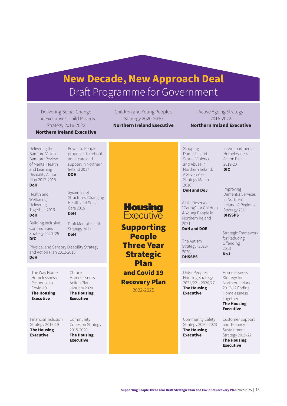## **New Decade, New Approach Deal** Draft Programme for Government

Delivering Social Change The Executive's Child Poverty Strategy 2016-2022 **Northern Ireland Executive**

Children and Young People's Strategy 2020-2030

Active Ageing Strategy 2016-2022 **Northern Ireland Executive**

> Interdepartmental Homelessness Action Plan 2019-20 **DfC**

Improving Dementia Services in Northern Ireland: A Regional Strategy 2011 **DHSSPS**

Strategic Framework

Delivering the Bamford Vision Bamford Review of Mental Health and Learning Disability Action Plan 2012-2015 **DoH**

Health and Wellbeing: Delivering Together 2016 **DoH**

Building Inclusive Communities Strategy 2020 -25 **DfC**

Draft Mental Health Strategy 2021 **DoH**

Power to People: proposals to reboot adult care and support in Northern Ireland 2017 **DOH**

Systems not Structures: Changing Health and Social Care 2016 **DoH**

Physical and Sensory Disability Strategy and Action Plan 2012-2015 **DoH**

> Chronic Homelessness Action Plan January 2020 **The Housing Executive**

### The Way Home Homelessness Response to Covid-19 **The Housing Executive**

Financial Inclusion Strategy 2016-19 **The Housing Executive**

Community Cohesion Strategy 2015-2020 **The Housing Executive**

**Northern Ireland Executive**

Stopping Domestic and Sexual Violence and Abuse in Northern Ireland: A Seven Year Strategy March 2016

**DoH and DoJ**

A Life Deserved: "Caring" for Children & Young People in Northern Ireland 2021

### **DoH and DOE**

The Autism Strategy (2013- 2020) **DHSSPS**

Older People's Housing Strategy 2021/22 – 2026/27 **The Housing Executive**

Community Safety Strategy 2020 -2023 **The Housing Executive**

**The Housing Executive** Customer Support and Tenancy Sustainment

Strategy 2019-22 **The Housing Executive**

Executive Supporting People

Three Year **Strategic** Plan and Covid 19 Recovery Plan

**Housing** 

2022-2025

for Reducing **Offending** 2013 **DoJ**

> Homelessness Strategy for Northern Ireland 2017-22 Ending Homelessness Together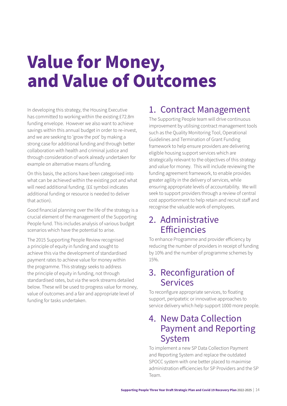## <span id="page-13-0"></span>**Value for Money, and Value of Outcomes**

In developing this strategy, the Housing Executive has committed to working within the existing £72.8m funding envelope. However we also want to achieve savings within this annual budget in order to re-invest, and we are seeking to 'grow the pot' by making a strong case for additional funding and through better collaboration with health and criminal justice and through consideration of work already undertaken for example on alternative means of funding.

On this basis, the actions have been categorised into what can be achieved within the existing pot and what will need additional funding. (££ symbol indicates additional funding or resource is needed to deliver that action).

Good financial planning over the life of the strategy is a crucial element of the management of the Supporting People fund. This includes analysis of various budget scenarios which have the potential to arise.

The 2015 Supporting People Review recognised a principle of equity in funding and sought to achieve this via the development of standardised payment rates to achieve value for money within the programme. This strategy seeks to address the principle of equity in funding, not through standardised rates, but via the work streams detailed below. These will be used to progress value for money, value of outcomes and a fair and appropriate level of funding for tasks undertaken.

## 1. Contract Management

The Supporting People team will drive continuous improvement by utilising contract management tools such as the Quality Monitoring Tool, Operational Guidelines and Termination of Grant Funding framework to help ensure providers are delivering eligible housing support services which are strategically relevant to the objectives of this strategy and value for money. This will include reviewing the funding agreement framework, to enable provides greater agility in the delivery of services, while ensuring appropriate levels of accountability. We will seek to support providers through a review of central cost apportionment to help retain and recruit staff and recognise the valuable work of employees.

### 2. Administrative **Efficiencies**

To enhance Programme and provider efficiency by reducing the number of providers in receipt of funding by 10% and the number of programme schemes by 15%.

### 3. Reconfiguration of Services

To reconfigure appropriate services, to floating support, peripatetic or innovative approaches to service delivery which help support 1000 more people.

### 4. New Data Collection Payment and Reporting System

To implement a new SP Data Collection Payment and Reporting System and replace the outdated SPOCC system with one better placed to maximise administration efficiencies for SP Providers and the SP Team.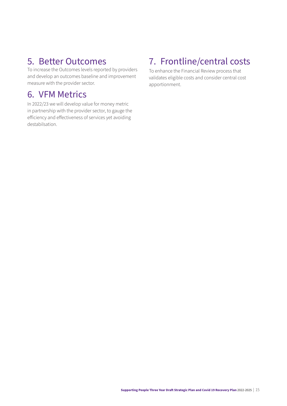### 5. Better Outcomes

To increase the Outcomes levels reported by providers and develop an outcomes baseline and improvement measure with the provider sector.

### 6. VFM Metrics

In 2022/23 we will develop value for money metric in partnership with the provider sector, to gauge the efficiency and effectiveness of services yet avoiding destabilsation.

## 7. Frontline/central costs

To enhance the Financial Review process that validates eligible costs and consider central cost apportionment.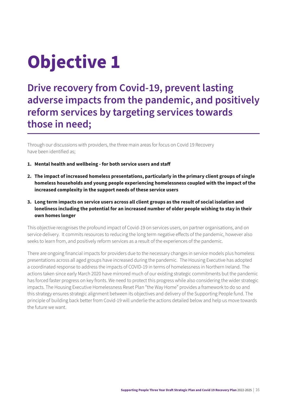# <span id="page-15-0"></span>**Objective 1**

## **Drive recovery from Covid-19, prevent lasting adverse impacts from the pandemic, and positively reform services by targeting services towards those in need;**

Through our discussions with providers, the three main areas for focus on Covid 19 Recovery have been identified as;

- **1. Mental health and wellbeing for both service users and staff**
- **2. The impact of increased homeless presentations, particularly in the primary client groups of single homeless households and young people experiencing homelessness coupled with the impact of the increased complexity in the support needs of these service users**
- **3. Long term impacts on service users across all client groups as the result of social isolation and loneliness including the potential for an increased number of older people wishing to stay in their own homes longer**

This objective recognises the profound impact of Covid-19 on services users, on partner organisations, and on service delivery. It commits resources to reducing the long term negative effects of the pandemic, however also seeks to learn from, and positively reform services as a result of the experiences of the pandemic.

There are ongoing financial impacts for providers due to the necessary changes in service models plus homeless presentations across all aged groups have increased during the pandemic. The Housing Executive has adopted a coordinated response to address the impacts of COVID-19 in terms of homelessness in Northern Ireland. The actions taken since early March 2020 have mirrored much of our existing strategic commitments but the pandemic has forced faster progress on key fronts. We need to protect this progress while also considering the wider strategic impacts. The Housing Executive Homelessness Reset Plan "the Way Home" provides a framework to do so and this strategy ensures strategic alignment between its objectives and delivery of the Supporting People fund. The principle of building back better from Covid-19 will underlie the actions detailed below and help us move towards the future we want.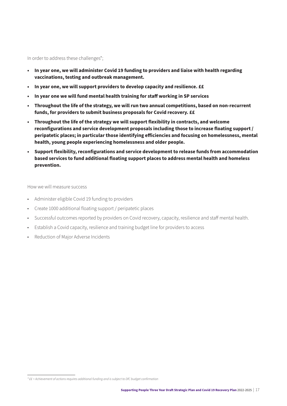In order to address these challenges\*;

- **• In year one, we will administer Covid 19 funding to providers and liaise with health regarding vaccinations, testing and outbreak management.**
- **• In year one, we will support providers to develop capacity and resilience. ££**
- **• In year one we will fund mental health training for staff working in SP services**
- **• Throughout the life of the strategy, we will run two annual competitions, based on non-recurrent funds, for providers to submit business proposals for Covid recovery. ££**
- **• Throughout the life of the strategy we will support flexibility in contracts, and welcome reconfigurations and service development proposals including those to increase floating support / peripatetic places; in particular those identifying efficiencies and focusing on homelessness, mental health, young people experiencing homelessness and older people.**
- **• Support flexibility, reconfigurations and service development to release funds from accommodation based services to fund additional floating support places to address mental health and homeless prevention.**

How we will measure success

- Administer eligible Covid 19 funding to providers
- Create 1000 additional floating support / peripatetic places
- Successful outcomes reported by providers on Covid recovery, capacity, resilience and staff mental health.
- Establish a Covid capacity, resilience and training budget line for providers to access
- Reduction of Major Adverse Incidents

*<sup>\* ££ =</sup> Achievement of actions requires additional funding and is subject to DfC budget confirmation*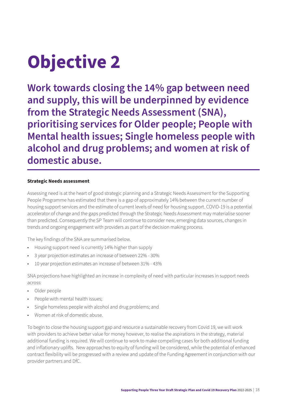# <span id="page-17-0"></span>**Objective 2**

**Work towards closing the 14% gap between need and supply, this will be underpinned by evidence from the Strategic Needs Assessment (SNA), prioritising services for Older people; People with Mental health issues; Single homeless people with alcohol and drug problems; and women at risk of domestic abuse.** 

### **Strategic Needs assessment**

Assessing need is at the heart of good strategic planning and a Strategic Needs Assessment for the Supporting People Programme has estimated that there is a gap of approximately 14% between the current number of housing support services and the estimate of current levels of need for housing support. COVID-19 is a potential accelerator of change and the gaps predicted through the Strategic Needs Assessment may materialise sooner than predicted. Consequently the SP Team will continue to consider new, emerging data sources, changes in trends and ongoing engagement with providers as part of the decision making process.

The key findings of the SNA are summarised below.

- Housing support need is currently 14% higher than supply
- 3 year projection estimates an increase of between 22% 30%
- 10 year projection estimates an increase of between 31% 43%

SNA projections have highlighted an increase in complexity of need with particular increases in support needs across:

- Older people
- People with mental health issues;
- Single homeless people with alcohol and drug problems; and
- Women at risk of domestic abuse.

To begin to close the housing support gap and resource a sustainable recovery from Covid 19, we will work with providers to achieve better value for money however, to realise the aspirations in the strategy, material additional funding is required. We will continue to work to make compelling cases for both additional funding and inflationary uplifts. New approaches to equity of funding will be considered, while the potential of enhanced contract flexibility will be progressed with a review and update of the Funding Agreement in conjunction with our provider partners and DfC.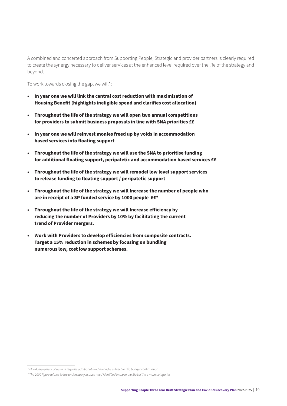A combined and concerted approach from Supporting People, Strategic and provider partners is clearly required to create the synergy necessary to deliver services at the enhanced level required over the life of the strategy and beyond.

To work towards closing the gap, we will\*;

- **• In year one we will link the central cost reduction with maximisation of Housing Benefit (highlights ineligible spend and clarifies cost allocation)**
- **• Throughout the life of the strategy we will open two annual competitions for providers to submit business proposals in line with SNA priorities ££**
- **• In year one we will reinvest monies freed up by voids in accommodation based services into floating support**
- **• Throughout the life of the strategy we will use the SNA to prioritise funding for additional floating support, peripatetic and accommodation based services ££**
- **• Throughout the life of the strategy we will remodel low level support services to release funding to floating support / peripatetic support**
- **• Throughout the life of the strategy we will Increase the number of people who are in receipt of a SP funded service by 1000 people ££\*5**
- **• Throughout the life of the strategy we will Increase efficiency by reducing the number of Providers by 10% by facilitating the current trend of Provider mergers.**
- **• Work with Providers to develop efficiencies from composite contracts. Target a 15% reduction in schemes by focusing on bundling numerous low, cost low support schemes.**

*<sup>\* ££ =</sup> Achievement of actions requires additional funding and is subject to DfC budget confirmation* 

*<sup>\*</sup> The 1000 figure relates to the undersupply in base need identified in the in the SNA of the 4 main categories*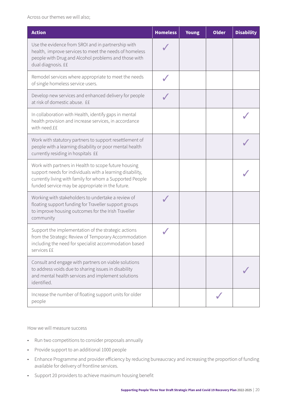Across our themes we will also;

| <b>Action</b>                                                                                                                                                                                                                     | <b>Homeless</b> | <b>Young</b> | <b>Older</b> | <b>Disability</b> |
|-----------------------------------------------------------------------------------------------------------------------------------------------------------------------------------------------------------------------------------|-----------------|--------------|--------------|-------------------|
| Use the evidence from SROI and in partnership with<br>health, improve services to meet the needs of homeless<br>people with Drug and Alcohol problems and those with<br>dual diagnosis. ££                                        |                 |              |              |                   |
| Remodel services where appropriate to meet the needs<br>of single homeless service users.                                                                                                                                         |                 |              |              |                   |
| Develop new services and enhanced delivery for people<br>at risk of domestic abuse. ££                                                                                                                                            |                 |              |              |                   |
| In collaboration with Health, identify gaps in mental<br>health provision and increase services, in accordance<br>with need.££                                                                                                    |                 |              |              |                   |
| Work with statutory partners to support resettlement of<br>people with a learning disability or poor mental health<br>currently residing in hospitals ££                                                                          |                 |              |              |                   |
| Work with partners in Health to scope future housing<br>support needs for individuals with a learning disability,<br>currently living with family for whom a Supported People<br>funded service may be appropriate in the future. |                 |              |              |                   |
| Working with stakeholders to undertake a review of<br>floating support funding for Traveller support groups<br>to improve housing outcomes for the Irish Traveller<br>community                                                   |                 |              |              |                   |
| Support the implementation of the strategic actions<br>from the Strategic Review of Temporary Accommodation<br>including the need for specialist accommodation based<br>services ££                                               |                 |              |              |                   |
| Consult and engage with partners on viable solutions<br>to address voids due to sharing issues in disability<br>and mental health services and implement solutions<br>identified.                                                 |                 |              |              |                   |
| Increase the number of floating support units for older<br>people                                                                                                                                                                 |                 |              |              |                   |

### How we will measure success

- Run two competitions to consider proposals annually
- Provide support to an additional 1000 people
- Enhance Programme and provider efficiency by reducing bureaucracy and increasing the proportion of funding available for delivery of frontline services.
- Support 20 providers to achieve maximum housing benefit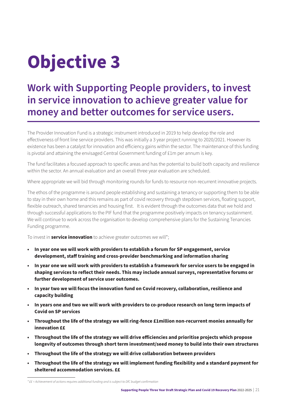# <span id="page-20-0"></span>**Objective 3**

## **Work with Supporting People providers, to invest in service innovation to achieve greater value for money and better outcomes for service users.**

The Provider Innovation Fund is a strategic instrument introduced in 2019 to help develop the role and effectiveness of front line service providers. This was initially a 3 year project running to 2020/2021. However its existence has been a catalyst for innovation and efficiency gains within the sector. The maintenance of this funding is pivotal and attaining the envisaged Central Government funding of £1m per annum is key.

The fund facilitates a focused approach to specific areas and has the potential to build both capacity and resilience within the sector. An annual evaluation and an overall three year evaluation are scheduled.

Where appropriate we will bid through monitoring rounds for funds to resource non-recurrent innovative projects.

The ethos of the programme is around people establishing and sustaining a tenancy or supporting them to be able to stay in their own home and this remains as part of covid recovery through stepdown services, floating support, flexible outreach, shared tenancies and housing first. It is evident through the outcomes data that we hold and through successful applications to the PIF fund that the programme positively impacts on tenancy sustainment. We will continue to work across the organisation to develop comprehensive plans for the Sustaining Tenancies Funding programme.

To invest in **service innovation** to achieve greater outcomes we will<sup>\*</sup>;

- **• In year one we will work with providers to establish a forum for SP engagement, service development, staff training and cross-provider benchmarking and information sharing**
- **• In year one we will work with providers to establish a framework for service users to be engaged in shaping services to reflect their needs. This may include annual surveys, representative forums or further development of service user outcomes.**
- **• In year two we will focus the innovation fund on Covid recovery, collaboration, resilience and capacity building**
- **• In years one and two we will work with providers to co-produce research on long term impacts of Covid on SP services**
- **• Throughout the life of the strategy we will ring-fence £1million non-recurrent monies annually for innovation ££**
- **• Throughout the life of the strategy we will drive efficiencies and prioritise projects which propose longevity of outcomes through short term investment/seed money to build into their own structures**
- **• Throughout the life of the strategy we will drive collaboration between providers**
- **• Throughout the life of the strategy we will implement funding flexibility and a standard payment for sheltered accommodation services. ££**

*<sup>\* ££ =</sup> Achievement of actions requires additional funding and is subject to DfC budget confirmation*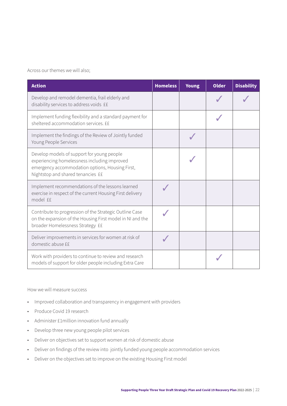Across our themes we will also;

| <b>Action</b>                                                                                                                                                                      | <b>Homeless</b> | <b>Young</b> | <b>Older</b> | <b>Disability</b> |
|------------------------------------------------------------------------------------------------------------------------------------------------------------------------------------|-----------------|--------------|--------------|-------------------|
| Develop and remodel dementia, frail elderly and<br>disability services to address voids ££                                                                                         |                 |              |              |                   |
| Implement funding flexibility and a standard payment for<br>sheltered accommodation services. ££                                                                                   |                 |              |              |                   |
| Implement the findings of the Review of Jointly funded<br>Young People Services                                                                                                    |                 |              |              |                   |
| Develop models of support for young people<br>experiencing homelessness including improved<br>emergency accommodation options, Housing First,<br>Nightstop and shared tenancies ££ |                 |              |              |                   |
| Implement recommendations of the lessons learned<br>exercise in respect of the current Housing First delivery<br>model ££                                                          |                 |              |              |                   |
| Contribute to progression of the Strategic Outline Case<br>on the expansion of the Housing First model in NI and the<br>broader Homelessness Strategy ££                           |                 |              |              |                   |
| Deliver improvements in services for women at risk of<br>domestic abuse ££                                                                                                         |                 |              |              |                   |
| Work with providers to continue to review and research<br>models of support for older people including Extra Care                                                                  |                 |              |              |                   |

### How we will measure success

- Improved collaboration and transparency in engagement with providers
- Produce Covid 19 research
- Administer £1million innovation fund annually
- Develop three new young people pilot services
- Deliver on objectives set to support women at risk of domestic abuse
- Deliver on findings of the review into jointly funded young people accommodation services
- Deliver on the objectives set to improve on the existing Housing First model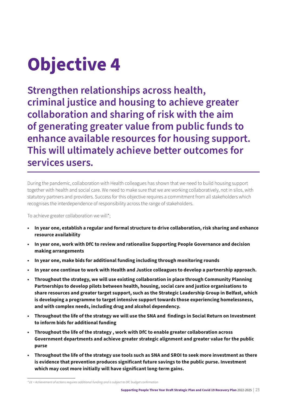# <span id="page-22-0"></span>**Objective 4**

**Strengthen relationships across health, criminal justice and housing to achieve greater collaboration and sharing of risk with the aim of generating greater value from public funds to enhance available resources for housing support. This will ultimately achieve better outcomes for services users.** 

During the pandemic, collaboration with Health colleagues has shown that we need to build housing support together with health and social care. We need to make sure that we are working collaboratively, not in silos, with statutory partners and providers. Success for this objective requires a commitment from all stakeholders which recognises the interdependence of responsibility across the range of stakeholders.

To achieve greater collaboration we will\*;

- **• In year one, establish a regular and formal structure to drive collaboration, risk sharing and enhance resource availability**
- **• In year one, work with DfC to review and rationalise Supporting People Governance and decision making arrangements**
- **• In year one, make bids for additional funding including through monitoring rounds**
- **• In year one continue to work with Health and Justice colleagues to develop a partnership approach.**
- **• Throughout the strategy, we will use existing collaboration in place through Community Planning Partnerships to develop pilots between health, housing, social care and justice organisations to share resources and greater target support, such as the Strategic Leadership Group in Belfast, which is developing a programme to target intensive support towards those experiencing homelessness, and with complex needs, including drug and alcohol dependency.**
- **• Throughout the life of the strategy we will use the SNA and findings in Social Return on Investment to inform bids for additional funding**
- **• Throughout the life of the strategy , work with DfC to enable greater collaboration across Government departments and achieve greater strategic alignment and greater value for the public purse**
- **• Throughout the life of the strategy use tools such as SNA and SROI to seek more investment as there is evidence that prevention produces significant future savings to the public purse. Investment which may cost more initially will have significant long-term gains.**

*<sup>\* ££ =</sup> Achievement of actions requires additional funding and is subject to DfC budget confirmation*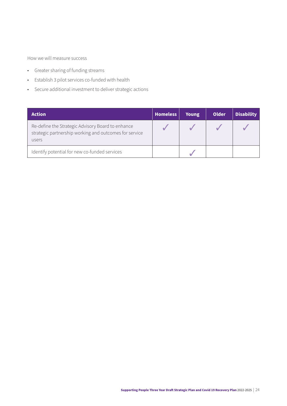How we will measure success

- Greater sharing of funding streams
- Establish 3 pilot services co-funded with health
- Secure additional investment to deliver strategic actions

| <b>Action</b>                                                                                                        | <b>Homeless</b> | <b>Young</b> | Older | <b>Disability</b> |
|----------------------------------------------------------------------------------------------------------------------|-----------------|--------------|-------|-------------------|
| Re-define the Strategic Advisory Board to enhance<br>strategic partnership working and outcomes for service<br>users |                 |              |       |                   |
| Identify potential for new co-funded services                                                                        |                 |              |       |                   |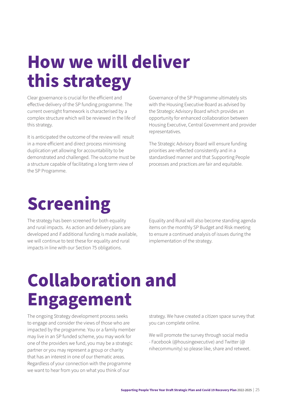## <span id="page-24-0"></span>**How we will deliver this strategy**

Clear governance is crucial for the efficient and effective delivery of the SP funding programme. The current oversight framework is characterised by a complex structure which will be reviewed in the life of this strategy.

It is anticipated the outcome of the review will result in a more efficient and direct process minimising duplication yet allowing for accountability to be demonstrated and challenged. The outcome must be a structure capable of facilitating a long term view of the SP Programme.

Governance of the SP Programme ultimately sits with the Housing Executive Board as advised by the Strategic Advisory Board which provides an opportunity for enhanced collaboration between Housing Executive, Central Government and provider representatives.

The Strategic Advisory Board will ensure funding priorities are reflected consistently and in a standardised manner and that Supporting People processes and practices are fair and equitable.

# **Screening**

The strategy has been screened for both equality and rural impacts. As action and delivery plans are developed and if additional funding is made available, we will continue to test these for equality and rural impacts in line with our Section 75 obligations.

Equality and Rural will also become standing agenda items on the monthly SP Budget and Risk meeting to ensure a continued analysis of issues during the implementation of the strategy.

# **Collaboration and Engagement**

The ongoing Strategy development process seeks to engage and consider the views of those who are impacted by the programme. You or a family member may live in an SP funded scheme, you may work for one of the providers we fund, you may be a strategic partner or you may represent a group or charity that has an interest in one of our thematic areas. Regardless of your connection with the programme we want to hear from you on what you think of our

strategy. We have created a citizen space survey that you can complete online.

We will promote the survey through social media - Facebook (@housingexecutive) and Twitter (@ nihecommunity) so please like, share and retweet.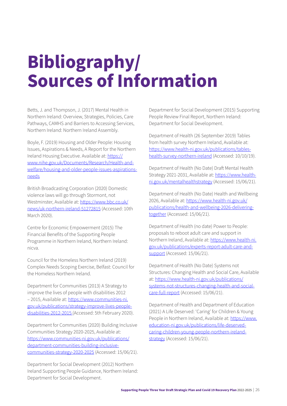## <span id="page-25-0"></span>**Bibliography/ Sources of Information**

Betts, J. and Thompson, J. (2017) Mental Health in Northern Ireland: Overview, Strategies, Policies, Care Pathways, CAMHS and Barriers to Accessing Services, Northern Ireland: Northern Ireland Assembly.

Boyle, F. (2019) Housing and Older People: Housing Issues, Aspirations & Needs, A Report for the Northern Ireland Housing Executive. Available at: [https://](https://www.nihe.gov.uk/Documents/Research/Health-and-welfare/housing-and-older-people-issues-aspirations-needs) [www.nihe.gov.uk/Documents/Research/Health-and](https://www.nihe.gov.uk/Documents/Research/Health-and-welfare/housing-and-older-people-issues-aspirations-needs)[welfare/housing-and-older-people-issues-aspirations](https://www.nihe.gov.uk/Documents/Research/Health-and-welfare/housing-and-older-people-issues-aspirations-needs)[needs](https://www.nihe.gov.uk/Documents/Research/Health-and-welfare/housing-and-older-people-issues-aspirations-needs)

British Broadcasting Corporation (2020) Domestic violence laws will go through Stormont, not Westminster, Available at: [https://www.bbc.co.uk/](https://www.bbc.co.uk/news/uk-northern-ireland-51272815) [news/uk-northern-ireland-51272815](https://www.bbc.co.uk/news/uk-northern-ireland-51272815) (Accessed: 10th March 2020).

Centre for Economic Empowerment (2015) The Financial Benefits of the Supporting People Programme in Northern Ireland, Northern Ireland: nicva.

Council for the Homeless Northern Ireland (2019) Complex Needs Scoping Exercise, Belfast: Council for the Homeless Northern Ireland.

Department for Communities (2013) A Strategy to improve the lives of people with disabilities 2012 – 2015, Available at: [https://www.communities-ni.](https://www.communities-ni.gov.uk/publications/strategy-improve-lives-people-disabilities-2012-2015 ) [gov.uk/publications/strategy-improve-lives-people](https://www.communities-ni.gov.uk/publications/strategy-improve-lives-people-disabilities-2012-2015 )[disabilities-2012-2015 \(](https://www.communities-ni.gov.uk/publications/strategy-improve-lives-people-disabilities-2012-2015 )Accessed: 5th February 2020).

Department for Communities (2020) Building Inclusive Communities Strategy 2020-2025, Available at: [https://www.communities-ni.gov.uk/publications/](https://www.communities-ni.gov.uk/publications/department-communities-building-inclusive-communities-strategy-2020-2025) [department-communities-building-inclusive](https://www.communities-ni.gov.uk/publications/department-communities-building-inclusive-communities-strategy-2020-2025)[communities-strategy-2020-2025](https://www.communities-ni.gov.uk/publications/department-communities-building-inclusive-communities-strategy-2020-2025) (Accessed: 15/06/21).

Department for Social Development (2012) Northern Ireland Supporting People Guidance, Northern Ireland: Department for Social Development.

Department for Social Development (2015) Supporting People Review Final Report, Northern Ireland: Department for Social Development.

Department of Health (26 September 2019) Tables from health survey Northern Ireland, Available at: [https://www.health-ni.gov.uk/publications/tables](https://www.health-ni.gov.uk/publications/tables-health-survey-northern-ireland)[health-survey-northern-ireland](https://www.health-ni.gov.uk/publications/tables-health-survey-northern-ireland) (Accessed: 10/10/19).

Department of Health (No Date) Draft Mental Health Strategy 2021-2031, Available at: [https://www.health](https://www.health-ni.gov.uk/mentalhealthstrategy)[ni.gov.uk/mentalhealthstrategy](https://www.health-ni.gov.uk/mentalhealthstrategy) (Accessed: 15/06/21).

Department of Health (No Date) Health and Wellbeing 2026, Available at: [https://www.health-ni.gov.uk/](https://www.health-ni.gov.uk/publications/health-and-wellbeing-2026-delivering-together) [publications/health-and-wellbeing-2026-delivering](https://www.health-ni.gov.uk/publications/health-and-wellbeing-2026-delivering-together)[together](https://www.health-ni.gov.uk/publications/health-and-wellbeing-2026-delivering-together) (Accessed: 15/06/21).

Department of Health (no date) Power to People: proposals to reboot adult care and support in Northern Ireland, Available at: [https://www.health-ni.](https://www.health-ni.gov.uk/publications/experts-report-adult-care-and-support) [gov.uk/publications/experts-report-adult-care-and](https://www.health-ni.gov.uk/publications/experts-report-adult-care-and-support)[support](https://www.health-ni.gov.uk/publications/experts-report-adult-care-and-support) (Accessed: 15/06/21).

Department of Health (No Date) Systems not Structures: Changing Health and Social Care, Available at: https://www.health-ni.gov.uk/publications/ systems-not-structures-changing-health-and-socialcare-full-report (Accessed: 15/06/21).

Department of Health and Department of Education (2021) A Life Deserved: 'Caring' for Children & Young People in Northern Ireland, Available at: [https://www.](https://www.education-ni.gov.uk/publications/life-deserved-caring-children-young-people-northern-ireland-strategy) [education-ni.gov.uk/publications/life-deserved](https://www.education-ni.gov.uk/publications/life-deserved-caring-children-young-people-northern-ireland-strategy)[caring-children-young-people-northern-ireland](https://www.education-ni.gov.uk/publications/life-deserved-caring-children-young-people-northern-ireland-strategy)[strategy](https://www.education-ni.gov.uk/publications/life-deserved-caring-children-young-people-northern-ireland-strategy) (Accessed: 15/06/21).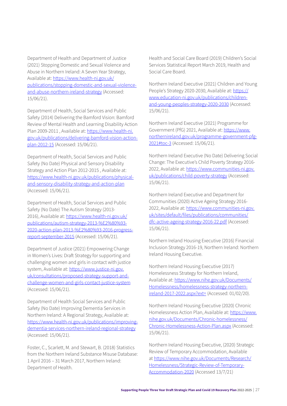Department of Health and Department of Justice (2021) Stopping Domestic and Sexual Violence and Abuse in Northern Ireland: A Seven Year Strategy, Available at: [https://www.health-ni.gov.uk/](https://www.health-ni.gov.uk/publications/stopping-domestic-and-sexual-violence-and-abuse-northern-ireland-strategy) [publications/stopping-domestic-and-sexual-violence](https://www.health-ni.gov.uk/publications/stopping-domestic-and-sexual-violence-and-abuse-northern-ireland-strategy)[and-abuse-northern-ireland-strategy](https://www.health-ni.gov.uk/publications/stopping-domestic-and-sexual-violence-and-abuse-northern-ireland-strategy) (Accessed: 15/06/21).

Department of Health, Social Services and Public Safety (2014) Delivering the Bamford Vision: Bamford Review of Mental Health and Learning Disability Action Plan 2009-2011 , Available at: [https://www.health-ni.](https://www.health-ni.gov.uk/publications/delivering-bamford-vision-action-plan-2012-15) [gov.uk/publications/delivering-bamford-vision-action](https://www.health-ni.gov.uk/publications/delivering-bamford-vision-action-plan-2012-15)[plan-2012-15](https://www.health-ni.gov.uk/publications/delivering-bamford-vision-action-plan-2012-15) (Accessed: 15/06/21).

Department of Health, Social Services and Public Safety (No Date) Physical and Sensory Disability Strategy and Action Plan 2012-2015 , Available at: [https://www.health-ni.gov.uk/publications/physical](https://www.health-ni.gov.uk/publications/physical-and-sensory-disability-strategy-and-action-plan)[and-sensory-disability-strategy-and-action-plan](https://www.health-ni.gov.uk/publications/physical-and-sensory-disability-strategy-and-action-plan) (Accessed: 15/06/21).

Department of Health, Social Services and Public Safety (No Date) The Autism Strategy (2013- 2016), Available at: [https://www.health-ni.gov.uk/](https://www.health-ni.gov.uk/publications/autism-strategy-2013-%E2%80%93-2020-action-plan-2013-%E2%80%93-2016-progress-report-september-2015) [publications/autism-strategy-2013-%E2%80%93-](https://www.health-ni.gov.uk/publications/autism-strategy-2013-%E2%80%93-2020-action-plan-2013-%E2%80%93-2016-progress-report-september-2015) [2020-action-plan-2013-%E2%80%93-2016-progress](https://www.health-ni.gov.uk/publications/autism-strategy-2013-%E2%80%93-2020-action-plan-2013-%E2%80%93-2016-progress-report-september-2015)[report-september-2015](https://www.health-ni.gov.uk/publications/autism-strategy-2013-%E2%80%93-2020-action-plan-2013-%E2%80%93-2016-progress-report-september-2015) (Accessed: 15/06/21).

Department of Justice (2021) Empowering Change in Women's Lives: Draft Strategy for supporting and challenging women and girls in contact with justice system, Available at: [https://www.justice-ni.gov.](https://www.justice-ni.gov.uk/consultations/proposed-strategy-support-and-challenge-women-and-girls-contact-justice-system) [uk/consultations/proposed-strategy-support-and](https://www.justice-ni.gov.uk/consultations/proposed-strategy-support-and-challenge-women-and-girls-contact-justice-system)[challenge-women-and-girls-contact-justice-system](https://www.justice-ni.gov.uk/consultations/proposed-strategy-support-and-challenge-women-and-girls-contact-justice-system) (Accessed: 15/06/21).

Department of Health Social Services and Public Safety (No Date) Improving Dementia Services in Northern Ireland: A Regional Strategy, Available at: [https://www.health-ni.gov.uk/publications/improving](https://www.health-ni.gov.uk/publications/improving-dementia-services-northern-ireland-regional-strategy)[dementia-services-northern-ireland-regional-strategy](https://www.health-ni.gov.uk/publications/improving-dementia-services-northern-ireland-regional-strategy) (Accessed: 15/06/21).

Foster, C., Scarlett, M. and Stewart, B. (2018) Statistics from the Northern Ireland Substance Misuse Database: 1 April 2016 – 31 March 2017, Northern Ireland: Department of Health.

Health and Social Care Board (2019) Children's Social Services Statistical Report March 2019, Health and Social Care Board.

Northern Ireland Executive (2021) Children and Young People's Strategy 2020-2030, Available at: [https://](https://www.education-ni.gov.uk/publications/children-and-young-peoples-strategy-2020-2030) [www.education-ni.gov.uk/publications/children](https://www.education-ni.gov.uk/publications/children-and-young-peoples-strategy-2020-2030)[and-young-peoples-strategy-2020-2030](https://www.education-ni.gov.uk/publications/children-and-young-peoples-strategy-2020-2030) (Accessed: 15/06/21).

Northern Ireland Executive (2021) Programme for Government (PfG) 2021, Available at: [https://www.](https://www.northernireland.gov.uk/programme-government-pfg-2021#toc-3) [northernireland.gov.uk/programme-government-pfg-](https://www.northernireland.gov.uk/programme-government-pfg-2021#toc-3)[2021#toc-3](https://www.northernireland.gov.uk/programme-government-pfg-2021#toc-3) (Accessed: 15/06/21).

Northern Ireland Executive (No Date) Delivering Social Change: The Executive's Child Poverty Strategy 2016- 2022, Available at: [https://www.communities-ni.gov.](https://www.communities-ni.gov.uk/publications/child-poverty-strategy) [uk/publications/child-poverty-strategy](https://www.communities-ni.gov.uk/publications/child-poverty-strategy) (Accessed: 15/06/21).

Northern Ireland Executive and Department for Communities (2020) Active Ageing Strategy 2016- 2022, Available at: [https://www.communities-ni.gov.](https://www.communities-ni.gov.uk/sites/default/files/publications/communities/dfc-active-ageing-strategy-2016-22.pdf) [uk/sites/default/files/publications/communities/](https://www.communities-ni.gov.uk/sites/default/files/publications/communities/dfc-active-ageing-strategy-2016-22.pdf) [dfc-active-ageing-strategy-2016-22.pdf](https://www.communities-ni.gov.uk/sites/default/files/publications/communities/dfc-active-ageing-strategy-2016-22.pdf) (Accessed: 15/06/21).

Northern Ireland Housing Executive (2016) Financial Inclusion Strategy 2016-19, Northern Ireland: Northern Ireland Housing Executive.

Northern Ireland Housing Executive (2017) Homelessness Strategy for Northern Ireland, Available at: [https://www.nihe.gov.uk/Documents/](https://www.nihe.gov.uk/Documents/Homelessness/homelessness-strategy-northern-ireland-2017-2022.aspx?ext=) [Homelessness/homelessness-strategy-northern](https://www.nihe.gov.uk/Documents/Homelessness/homelessness-strategy-northern-ireland-2017-2022.aspx?ext=)[ireland-2017-2022.aspx?ext=](https://www.nihe.gov.uk/Documents/Homelessness/homelessness-strategy-northern-ireland-2017-2022.aspx?ext=) (Accessed: 01/02/20).

Northern Ireland Housing Executive (2020) Chronic Homelessness Action Plan, Available at: [https://www.](https://www.nihe.gov.uk/Documents/Chronic-homelessness/Chronic-Homelessness-Action-Plan.aspx) [nihe.gov.uk/Documents/Chronic-homelessness/](https://www.nihe.gov.uk/Documents/Chronic-homelessness/Chronic-Homelessness-Action-Plan.aspx) [Chronic-Homelessness-Action-Plan.aspx](https://www.nihe.gov.uk/Documents/Chronic-homelessness/Chronic-Homelessness-Action-Plan.aspx) (Accessed: 15/06/21).

Northern Ireland Housing Executive, (2020) Strategic Review of Temporary Accommodation, Available at [https://www.nihe.gov.uk/Documents/Research/](https://www.nihe.gov.uk/Documents/Research/Homelessness/Strategic-Review-of-Temporary-Accommodation-2020) [Homelessness/Strategic-Review-of-Temporary-](https://www.nihe.gov.uk/Documents/Research/Homelessness/Strategic-Review-of-Temporary-Accommodation-2020)[Accommodation-2020](https://www.nihe.gov.uk/Documents/Research/Homelessness/Strategic-Review-of-Temporary-Accommodation-2020) (Accessed 13/7/21)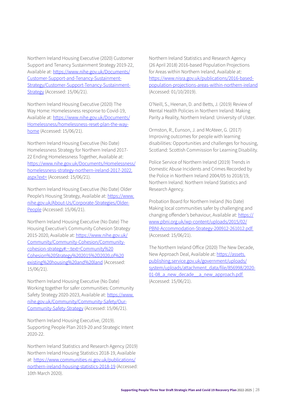Northern Ireland Housing Executive (2020) Customer Support and Tenancy Sustainment Strategy 2019-22, Available at: [https://www.nihe.gov.uk/Documents/](https://www.nihe.gov.uk/Documents/Customer-Support-and-Tenancy-Sustainment-Strategy/Customer-Support-Tenancy-Sustainment-Strategy) [Customer-Support-and-Tenancy-Sustainment-](https://www.nihe.gov.uk/Documents/Customer-Support-and-Tenancy-Sustainment-Strategy/Customer-Support-Tenancy-Sustainment-Strategy)[Strategy/Customer-Support-Tenancy-Sustainment-](https://www.nihe.gov.uk/Documents/Customer-Support-and-Tenancy-Sustainment-Strategy/Customer-Support-Tenancy-Sustainment-Strategy)[Strategy](https://www.nihe.gov.uk/Documents/Customer-Support-and-Tenancy-Sustainment-Strategy/Customer-Support-Tenancy-Sustainment-Strategy) (Accessed: 15/06/21).

Northern Ireland Housing Executive (2020) The Way Home: Homelessness response to Covid-19, Available at: https://www.nihe.gov.uk/Documents/ Homelessness/homelessness-reset-plan-the-wayhome (Accessed: 15/06/21).

Northern Ireland Housing Executive (No Date) Homelessness Strategy for Northern Ireland 2017- 22 Ending Homelessness Together, Available at: https://www.nihe.gov.uk/Documents/Homelessness/ homelessness-strategy-northern-ireland-2017-2022. aspx?ext= (Accessed: 15/06/21).

Northern Ireland Housing Executive (No Date) Older People's Housing Strategy, Available at: https://www. nihe.gov.uk/About-Us/Corporate-Strategies/Older-People (Accessed: 15/06/21).

Northern Ireland Housing Executive (No Date) The Housing Executive's Community Cohesion Strategy 2015-2020, Available at: [https://www.nihe.gov.uk/](https://www.nihe.gov.uk/Community/Community-Cohesion/Community-cohesion-strategy#:~:text=Community%20Cohesion%20Strategy%202015%2D2020,of%20existing%20housing%20and%20land) [Community/Community-Cohesion/Community](https://www.nihe.gov.uk/Community/Community-Cohesion/Community-cohesion-strategy#:~:text=Community%20Cohesion%20Strategy%202015%2D2020,of%20existing%20housing%20and%20land)[cohesion-strategy#:~:text=Community%20](https://www.nihe.gov.uk/Community/Community-Cohesion/Community-cohesion-strategy#:~:text=Community%20Cohesion%20Strategy%202015%2D2020,of%20existing%20housing%20and%20land) [Cohesion%20Strategy%202015%2D2020,of%20](https://www.nihe.gov.uk/Community/Community-Cohesion/Community-cohesion-strategy#:~:text=Community%20Cohesion%20Strategy%202015%2D2020,of%20existing%20housing%20and%20land) [existing%20housing%20and%20land](https://www.nihe.gov.uk/Community/Community-Cohesion/Community-cohesion-strategy#:~:text=Community%20Cohesion%20Strategy%202015%2D2020,of%20existing%20housing%20and%20land) (Accessed: 15/06/21).

Northern Ireland Housing Executive (No Date) Working together for safer communities: Community Safety Strategy 2020-2023, Available at: [https://www.](https://www.nihe.gov.uk/Community/Community-Safety/Our-Community-Safety-Strategy) [nihe.gov.uk/Community/Community-Safety/Our-](https://www.nihe.gov.uk/Community/Community-Safety/Our-Community-Safety-Strategy)[Community-Safety-Strategy](https://www.nihe.gov.uk/Community/Community-Safety/Our-Community-Safety-Strategy) (Accessed: 15/06/21).

Northern Ireland Housing Executive, (2019). Supporting People Plan 2019-20 and Strategic Intent 2020-22.

Northern Ireland Statistics and Research Agency (2019) Northern Ireland Housing Statistics 2018-19, Available at: [https://www.communities-ni.gov.uk/publications/](https://www.communities-ni.gov.uk/publications/northern-ireland-housing-statistics-2018-19) [northern-ireland-housing-statistics-2018-19](https://www.communities-ni.gov.uk/publications/northern-ireland-housing-statistics-2018-19) (Accessed: 10th March 2020).

Northern Ireland Statistics and Research Agency (26 April 2018) 2016-based Population Projections for Areas within Northern Ireland, Available at: [https://www.nisra.gov.uk/publications/2016-based](https://www.nisra.gov.uk/publications/2016-based-population-projections-areas-within-northern-ireland)[population-projections-areas-within-northern-ireland](https://www.nisra.gov.uk/publications/2016-based-population-projections-areas-within-northern-ireland) (Accessed: 01/10/2019).

O'Neill, S., Heenan, D. and Betts, J. (2019) Review of Mental Health Policies in Northern Ireland: Making Parity a Reality, Northern Ireland: University of Ulster.

Ormston, R., Eunson, J. and McAteer, G. (2017) Improving outcomes for people with learning disabilities: Opportunities and challenges for housing, Scotland: Scottish Commission for Learning Disability.

Police Service of Northern Ireland (2019) Trends in Domestic Abuse Incidents and Crimes Recorded by the Police in Northern Ireland 2004/05 to 2018/19, Northern Ireland: Northern Ireland Statistics and Research Agency.

Probation Board for Northern Ireland (No Date) Making local communities safer by challenging and changing offender's behaviour, Available at: [https://](https://www.pbni.org.uk/wp-content/uploads/2015/02/PBNI-Accommodation-Strategy-200912-261012.pdf ) [www.pbni.org.uk/wp-content/uploads/2015/02/](https://www.pbni.org.uk/wp-content/uploads/2015/02/PBNI-Accommodation-Strategy-200912-261012.pdf ) [PBNI-Accommodation-Strategy-200912-261012.pdf](https://www.pbni.org.uk/wp-content/uploads/2015/02/PBNI-Accommodation-Strategy-200912-261012.pdf )  (Accessed: 15/06/21).

The Northern Ireland Office (2020) The New Decade, New Approach Deal, Available at: [https://assets.](https://assets.publishing.service.gov.uk/government/uploads/system/uploads/attachment_data/file/856998/2020-01-08_a_new_decade__a_new_approach.pdf ) [publishing.service.gov.uk/government/uploads/](https://assets.publishing.service.gov.uk/government/uploads/system/uploads/attachment_data/file/856998/2020-01-08_a_new_decade__a_new_approach.pdf ) [system/uploads/attachment\\_data/file/856998/2020-](https://assets.publishing.service.gov.uk/government/uploads/system/uploads/attachment_data/file/856998/2020-01-08_a_new_decade__a_new_approach.pdf ) 01-08 a new decade a new approach.pdf (Accessed: 15/06/21).